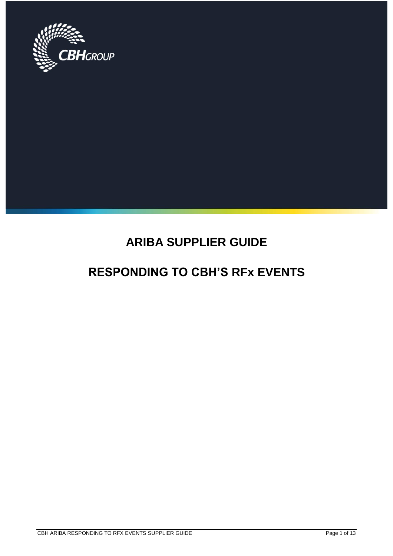

# **ARIBA SUPPLIER GUIDE**

# **RESPONDING TO CBH'S RFx EVENTS**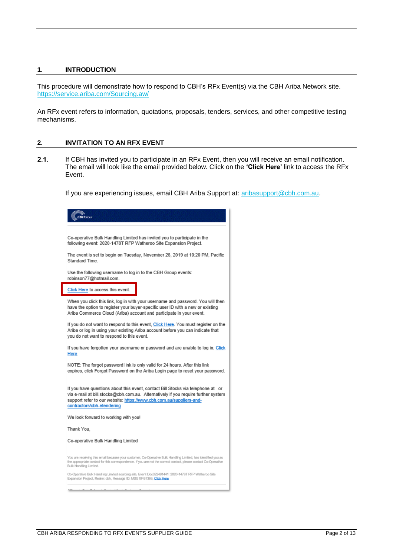### **1. INTRODUCTION**

This procedure will demonstrate how to respond to CBH's RFx Event(s) via the CBH Ariba Network site. <https://service.ariba.com/Sourcing.aw/>

An RFx event refers to information, quotations, proposals, tenders, services, and other competitive testing mechanisms.

### **2. INVITATION TO AN RFX EVENT**

 $2.1.$ If CBH has invited you to participate in an RFx Event, then you will receive an email notification. The email will look like the email provided below. Click on the **'Click Here'** link to access the RFx Event.

If you are experiencing issues, email CBH Ariba Support at: [aribasupport@cbh.com.au.](mailto:aribasupport@cbh.com.au)

| Co-operative Bulk Handling Limited has invited you to participate in the<br>following event: 2020-1478T RFP Watheroo Site Expansion Project.                                                                                                                              |
|---------------------------------------------------------------------------------------------------------------------------------------------------------------------------------------------------------------------------------------------------------------------------|
| The event is set to begin on Tuesday, November 26, 2019 at 10:20 PM, Pacific<br>Standard Time.                                                                                                                                                                            |
| Use the following username to log in to the CBH Group events:<br>robinson77@hotmail.com.                                                                                                                                                                                  |
| Click Here to access this event.                                                                                                                                                                                                                                          |
| When you click this link, log in with your username and password. You will then<br>have the option to register your buyer-specific user ID with a new or existing<br>Ariba Commerce Cloud (Ariba) account and participate in your event.                                  |
| If you do not want to respond to this event, Click Here. You must register on the<br>Ariba or log in using your existing Ariba account before you can indicate that<br>you do not want to respond to this event.                                                          |
| If you have forgotten your username or password and are unable to log in, Click<br>Here.                                                                                                                                                                                  |
| NOTE: The forgot password link is only valid for 24 hours. After this link<br>expires, click Forgot Password on the Ariba Login page to reset your password.                                                                                                              |
| If you have questions about this event, contact Bill Stocks via telephone at or<br>via e-mail at bill.stocks@cbh.com.au. Alternatively if you require further system<br>support refer to our website: https://www.cbh.com.au/suppliers-and-<br>contractors/cbh-etendering |
| We look forward to working with you!                                                                                                                                                                                                                                      |
| Thank You,                                                                                                                                                                                                                                                                |
| Co-operative Bulk Handling Limited                                                                                                                                                                                                                                        |
| You are receiving this email because your customer, Co-Operative Bulk Handling Limited, has identified you as<br>the appropriate contact for this correspondence. If you are not the correct contact, please contact Co-Operative<br>Bulk Handling Limited.               |
| Co-Operative Bulk Handling Limited sourcing site, Event Doc322491441: 2020-1478T RFP Watheroo Site<br>Expansion Project, Realm: cbh, Message ID: MSG10481389, Click Here                                                                                                  |
|                                                                                                                                                                                                                                                                           |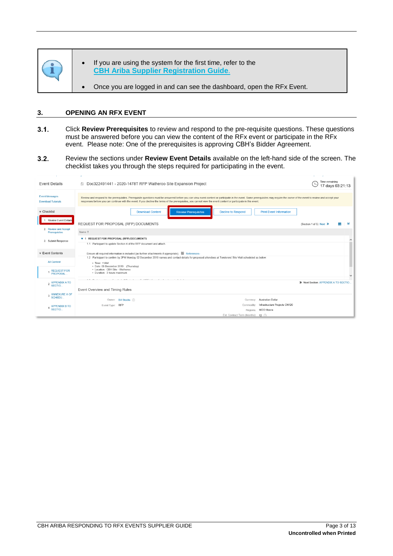

### **3. OPENING AN RFX EVENT**

- <span id="page-2-0"></span> $3.1.$ Click **Review Prerequisites** to review and respond to the pre-requisite questions. These questions must be answered before you can view the content of the RFx event or participate in the RFx event. Please note: One of the prerequisites is approving CBH's Bidder Agreement.
- $3.2.$ Review the sections under **Review Event Details** available on the left-hand side of the screen. The checklist takes you through the steps required for participating in the event.

| <b>Event Details</b>                               | <b>E</b> Doc322491441 - 2020-1478T RFP Watheroo Site Expansion Project                                                                                                                                                                                                                                                                                                                             | Time remaining<br>17 days 03:21:13          |
|----------------------------------------------------|----------------------------------------------------------------------------------------------------------------------------------------------------------------------------------------------------------------------------------------------------------------------------------------------------------------------------------------------------------------------------------------------------|---------------------------------------------|
| <b>Event Messages</b><br><b>Download Tutorials</b> | Review and respond to the prerequisites. Prerequisite questions must be answered before you can view event content or participate in the event. Some prerequisites may require the owner of the event to review and accept you<br>responses before you can continue with the event. If you decline the terms of the prerequisites, you cannot view the event content or participate in this event. |                                             |
| $\triangledown$ Checklist                          | <b>Download Content</b><br><b>Decline to Respond</b><br><b>Print Event Information</b><br><b>Review Prerequisites</b>                                                                                                                                                                                                                                                                              |                                             |
| 1. Review Event Details                            | REQUEST FOR PROPOSAL (RFP) DOCUMENTS                                                                                                                                                                                                                                                                                                                                                               | ะ<br>(Section 1 of 5) Next >><br><b>TTP</b> |
| 2. Review and Accept<br>Prerequisites              | Name 1                                                                                                                                                                                                                                                                                                                                                                                             |                                             |
| 3. Submit Response                                 | T 1 REQUEST FOR PROPOSAL (RFP) DOCUMENTS                                                                                                                                                                                                                                                                                                                                                           |                                             |
|                                                    | 1.1 Participant to update Section 4 of the RFP document and attach.                                                                                                                                                                                                                                                                                                                                |                                             |
| $\mathbf$ Event Contents                           | Ensure all required information is included (as further attachments if appropriate). E References-                                                                                                                                                                                                                                                                                                 |                                             |
| <b>All Content</b>                                 | 1.2 Participant to confirm by 2PM Monday 02 December 2019 names and contact details for proposed attendees at Tenderers' Site Visit scheduled as below:<br>· Time: 11AM<br>• Date: 05 December 2019 (Thursday)                                                                                                                                                                                     |                                             |
| <b>REQUEST FOR</b><br><b>PROPOSAL</b>              | • Location: CBH Site - Watheroo<br>• Duration: 3 hours maximum                                                                                                                                                                                                                                                                                                                                     |                                             |
|                                                    | to present the contract of the contract of the contract of the contract of the contract of the contract of the contract of the contract of the contract of the contract of the contract of the contract of the contract of the                                                                                                                                                                     | $\checkmark$                                |
| 2 APPENDIX A TO<br>SECTIO.                         |                                                                                                                                                                                                                                                                                                                                                                                                    | >> Next Section: APPENDIX A TO SECTIO       |
| <b>ANNEXURE A OF</b>                               | Event Overview and Timing Rules                                                                                                                                                                                                                                                                                                                                                                    |                                             |
| <b>SCHEDU</b>                                      | Currency: Australian Dollar<br>Owner: Bill Stocks (i)                                                                                                                                                                                                                                                                                                                                              |                                             |
| <b>APPENDIX B TO</b>                               | Infrastructure Projects CN120<br>Commodity:<br>Event Type: RFP                                                                                                                                                                                                                                                                                                                                     |                                             |
| <b>SECTIO</b>                                      | Regions: MOO Moora<br>Est. Contract Term (Months): 12 (i)                                                                                                                                                                                                                                                                                                                                          |                                             |
|                                                    |                                                                                                                                                                                                                                                                                                                                                                                                    |                                             |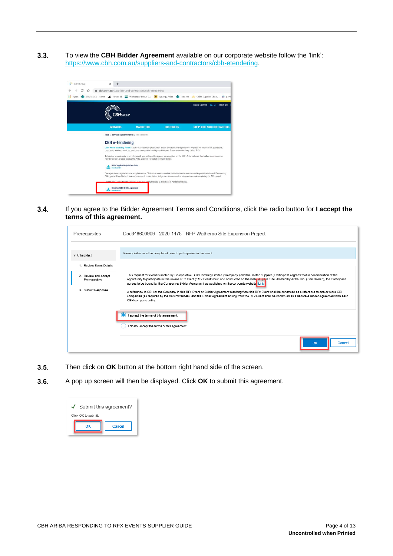$3.3.$ To view the **CBH Bidder Agreement** available on our corporate website follow the 'link': [https://www.cbh.com.au/suppliers-and-contractors/cbh-etendering.](https://www.cbh.com.au/suppliers-and-contractors/cbh-etendering)



 $3.4.$ If you agree to the Bidder Agreement Terms and Conditions, click the radio button for **I accept the terms of this agreement.**

| Prerequisites                         | Doc348600909 - 2020-1478T RFP Watheroo Site Expansion Project                                                                                                                                                                                                                                                                                                                                                                                    |  |  |  |
|---------------------------------------|--------------------------------------------------------------------------------------------------------------------------------------------------------------------------------------------------------------------------------------------------------------------------------------------------------------------------------------------------------------------------------------------------------------------------------------------------|--|--|--|
| $\mathbf$ Checklist                   | Prerequisites must be completed prior to participation in the event.                                                                                                                                                                                                                                                                                                                                                                             |  |  |  |
| 1. Review Event Details               |                                                                                                                                                                                                                                                                                                                                                                                                                                                  |  |  |  |
| 2. Review and Accept<br>Prerequisites | This request for event is invited by Co-operative Bulk Handling Limited ('Company') and the invited supplier ('Participant') agrees that in consideration of the<br>opportunity to participate in this on-line RFx event ('RFx Event') held and conducted on the web pite (this 'Site') hosted by Ariba, Inc. ('Site Owner'), the Participant<br>agrees to be bound by the Company's Bidder Agreement as published on the corporate website Link |  |  |  |
| 3. Submit Response                    | A reference to CBH or the Company in this RFx Event or Bidder Agreement resulting from this RFx Event shall be construed as a reference to one or more CBH<br>companies (as required by the circumstances), and the Bidder Agreement arising from the RFx Event shall be construed as a separate Bidder Agreement with each<br>CBH company entity.                                                                                               |  |  |  |
|                                       | I accept the terms of this agreement.                                                                                                                                                                                                                                                                                                                                                                                                            |  |  |  |
|                                       | I do not accept the terms of this agreement.                                                                                                                                                                                                                                                                                                                                                                                                     |  |  |  |
|                                       | OK<br>Cancel                                                                                                                                                                                                                                                                                                                                                                                                                                     |  |  |  |

- $3.5.$ Then click on **OK** button at the bottom right hand side of the screen.
- $3.6.$ A pop up screen will then be displayed. Click **OK** to submit this agreement.

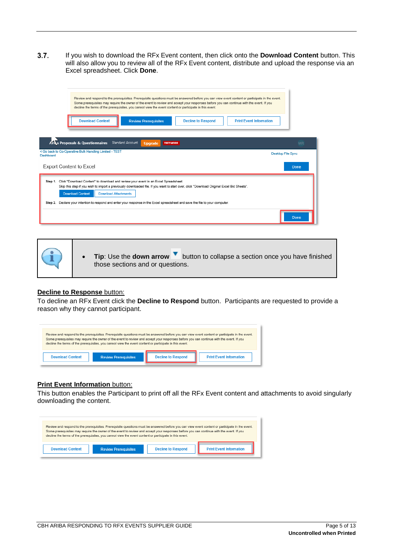$3.7.$ If you wish to download the RFx Event content, then click onto the **Download Content** button. This will also allow you to review all of the RFx Event content, distribute and upload the response via an Excel spreadsheet. Click **Done**.

| Review and respond to the prerequisites. Prerequisite questions must be answered before you can view event content or participate in the event.<br>Some prerequisites may require the owner of the event to review and accept your responses before you can continue with the event. If you<br>decline the terms of the prerequisites, you cannot view the event content or participate in this event.<br><b>Download Content</b><br><b>Decline to Respond</b><br><b>Print Event Information</b><br><b>Review Prerequisites</b> |                          |
|---------------------------------------------------------------------------------------------------------------------------------------------------------------------------------------------------------------------------------------------------------------------------------------------------------------------------------------------------------------------------------------------------------------------------------------------------------------------------------------------------------------------------------|--------------------------|
| Ariza Proposals & Questionnaires<br>Standard Account<br><b>TEST MODE</b><br><b>Upgrade</b>                                                                                                                                                                                                                                                                                                                                                                                                                                      | <b>WR</b>                |
| < Go back to Co-Operative Bulk Handling Limited - TEST<br>Dashhoard                                                                                                                                                                                                                                                                                                                                                                                                                                                             | <b>Desktop File Sync</b> |
| <b>Export Content to Excel</b>                                                                                                                                                                                                                                                                                                                                                                                                                                                                                                  | Done                     |
| Step 1. Click "Download Content" to download and review your event in an Excel Spreadsheet.<br>Skip this step if you wish to import a previously downloaded file. If you want to start over, click "Download Original Excel Bid Sheets".<br><b>Download Content</b><br><b>Download Attachments</b><br>Step 2. Declare your intention to respond and enter your response in the Excel spreadsheet and save the file to your computer.                                                                                            | Done                     |

• **Tip**: Use the **down arrow** button to collapse a section once you have finished those sections and or questions.

### **Decline to Response** button:

To decline an RFx Event click the **Decline to Respond** button. Participants are requested to provide a reason why they cannot participant.



### **Print Event Information** button:

This button enables the Participant to print off all the RFx Event content and attachments to avoid singularly downloading the content.

| Review and respond to the prerequisites. Prerequisite questions must be answered before you can view event content or participate in the event.<br>Some prerequisites may require the owner of the event to review and accept your responses before you can continue with the event. If you<br>decline the terms of the prerequisites, you cannot view the event content or participate in this event. |                             |                           |                                |  |
|--------------------------------------------------------------------------------------------------------------------------------------------------------------------------------------------------------------------------------------------------------------------------------------------------------------------------------------------------------------------------------------------------------|-----------------------------|---------------------------|--------------------------------|--|
| Download Content                                                                                                                                                                                                                                                                                                                                                                                       | <b>Review Prerequisites</b> | <b>Decline to Respond</b> | <b>Print Event Information</b> |  |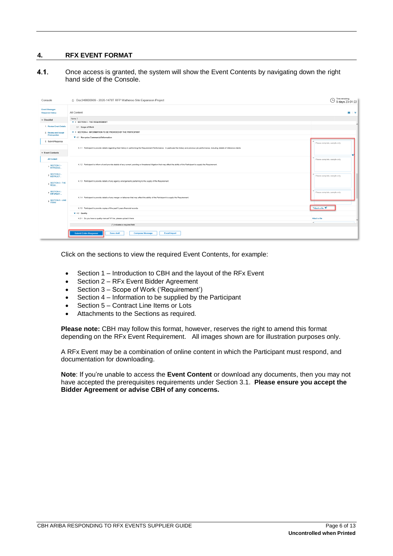### **4. RFX EVENT FORMAT**

 $4.1.$ Once access is granted, the system will show the Event Contents by navigating down the right hand side of the Console.

| Console                                                    | E Doc348600909 - 2020-1478T RFP Watheroo Site Expansion Project                                                                                                                                         | Time remaining<br>◯ Time remaining<br>9 days 23:01:22 |
|------------------------------------------------------------|---------------------------------------------------------------------------------------------------------------------------------------------------------------------------------------------------------|-------------------------------------------------------|
| <b>Event Messages</b><br><b>Response History</b>           | All Content                                                                                                                                                                                             | $\overline{m}$ $\vee$                                 |
| $\mathbf v$ Checklist                                      | Name 1                                                                                                                                                                                                  |                                                       |
| 1. Review Event Details                                    | <b>v</b> 3 SECTION 3 - THE REQUIREMENT<br>3.1 Scope of Work                                                                                                                                             |                                                       |
| 2. Review and Accept                                       | T 4 SECTION 4 - INFORMATION TO BE PROVIDED BY THE PARTICIPANT                                                                                                                                           |                                                       |
| Prerequisites                                              | ▼ 4.1 Non-price Commercial Information                                                                                                                                                                  |                                                       |
| 3. Submit Response                                         |                                                                                                                                                                                                         | Please complete, sample only                          |
|                                                            | 4.1.1 Participant to provide details regarding their history in performing the Requirement Performance. In particular the history and previous job performance, including details of reference clients. |                                                       |
| <b>Event Contents</b>                                      |                                                                                                                                                                                                         |                                                       |
| <b>All Content</b>                                         |                                                                                                                                                                                                         | Please complete, sample only                          |
| SECTION 1 -<br>INTRODUC.                                   | 4.1.2 Participant to inform of and provide details of any current, pending or threatened litigation that may affect the ability of the Participant to supply the Requirement.                           |                                                       |
|                                                            |                                                                                                                                                                                                         |                                                       |
| 2 SECTION 2 -<br>INSTRUCT                                  |                                                                                                                                                                                                         | Please complete, sample only                          |
| <b>SECTION 3 - THE</b><br>$\overline{\mathbf{3}}$<br>REQU. | 4.1.3 Participant to provide details of any agency arrangements pertaining to the supply of the Requirement.                                                                                            |                                                       |
|                                                            |                                                                                                                                                                                                         |                                                       |
| SECTION 4 -<br>4                                           |                                                                                                                                                                                                         | Please complete, sample only                          |
| 5 SECTION 5 - LINE                                         | 4.1.4 Participant to provide details of any merger or takeover that may affect the ability of the Participant to supply the Requirement.                                                                |                                                       |
|                                                            |                                                                                                                                                                                                         |                                                       |
|                                                            | 4.1.5 Participant to provide copies of the past 5 years financial records                                                                                                                               | *Attach a file #                                      |
|                                                            | $+ 4.2$ Quality                                                                                                                                                                                         |                                                       |
|                                                            | 4.2.1 Do you have a quality manual? If Yes, please upload it here.                                                                                                                                      | Attach a file<br>$\sim$                               |
|                                                            | ( <sup>n</sup> ) indicates a required field                                                                                                                                                             |                                                       |
|                                                            | <b>Submit Entire Response</b><br>Save draft<br><b>Compose Message</b><br><b>Excel Import</b>                                                                                                            |                                                       |

Click on the sections to view the required Event Contents, for example:

- Section 1 Introduction to CBH and the layout of the RFx Event
- Section 2 RFx Event Bidder Agreement
- Section 3 Scope of Work ('Requirement')
- Section 4 Information to be supplied by the Participant
- Section 5 Contract Line Items or Lots
- Attachments to the Sections as required.

**Please note:** CBH may follow this format, however, reserves the right to amend this format depending on the RFx Event Requirement. All images shown are for illustration purposes only.

A RFx Event may be a combination of online content in which the Participant must respond, and documentation for downloading.

**Note**: If you're unable to access the **Event Content** or download any documents, then you may not have accepted the prerequisites requirements under Section [3.1.](#page-2-0) **Please ensure you accept the Bidder Agreement or advise CBH of any concerns.**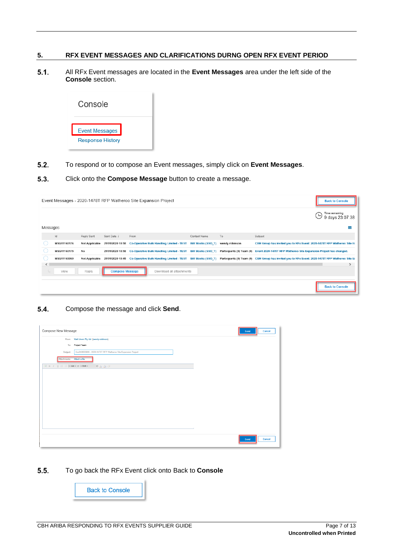### **5. RFX EVENT MESSAGES AND CLARIFICATIONS DURNG OPEN RFX EVENT PERIOD**

 $5.1.$ All RFx Event messages are located in the **Event Messages** area under the left side of the **Console** section.



 $5.2.$ To respond or to compose an Event messages, simply click on **Event Messages**.

#### $5.3.$ Click onto the **Compose Message** button to create a message.

|          |             |                       |                        | Event Messages - 2020-1478T RFP Watheroo Site Expansion Project |                     |                | <b>Back to Console</b>                                                                                                                                                           |
|----------|-------------|-----------------------|------------------------|-----------------------------------------------------------------|---------------------|----------------|----------------------------------------------------------------------------------------------------------------------------------------------------------------------------------|
|          |             |                       |                        |                                                                 |                     |                | Time remaining<br>$9$ days 23:07:38                                                                                                                                              |
| Messages |             |                       |                        |                                                                 |                     |                | ŦF                                                                                                                                                                               |
|          | Id          | Reply Sent            | Sent Date +            | From                                                            | Contact Name        | To             | Subject                                                                                                                                                                          |
|          | MSG11160176 | <b>Not Applicable</b> |                        | 21/01/2020 10:58 Co-Operative Bulk Handling Limited - TEST      | Bill Stocks (SSO T) | wendy robinson | CBH Group has invited you to RFx Event: 2020-1478T RFP Watheroo Site E:                                                                                                          |
|          | MSG11160175 | No                    |                        |                                                                 |                     |                | 21/01/2020 10:58 Co-Operative Bulk Handling Limited - TEST Bill Stocks (SSO_T) Participants (0) Team (0) Event 2020-1478T RFP Watheroo Site Expansion Project has changed.       |
|          | MSG11160060 | <b>Not Applicable</b> |                        |                                                                 |                     |                | 21/01/2020 10:45 Co-Operative Bulk Handling Limited - TEST Bill Stocks (SSO_T) Participants (0) Team (0) CBH Group has invited you to RFx Event: 2020-1478T RFP Watheroo Site E: |
| ≺<br>L,  | View        | Reply                 | <b>Compose Message</b> | Download all attachments                                        |                     |                | $\rightarrow$                                                                                                                                                                    |
|          |             |                       |                        |                                                                 |                     |                | <b>Back to Console</b>                                                                                                                                                           |

#### $5.4.$ Compose the message and click **Send**.

| Compose New Message                                                                    |                                                               |  | Cancel<br>Send |  |
|----------------------------------------------------------------------------------------|---------------------------------------------------------------|--|----------------|--|
|                                                                                        | From: Wall Liners Pty Ltd (wendy robinson)                    |  |                |  |
|                                                                                        | To: Project Team                                              |  |                |  |
| Subject                                                                                | Doc348800909 - 2020-1478T RFP Watheroo Site Expansion Project |  |                |  |
| Attachments: Attach a file                                                             |                                                               |  |                |  |
| $\boxed{3}$ B $I$ $\boxed{U}$ $\boxed{=}$ $\boxed{=$ $size - \vee$ $\boxed{-$ font $-$ | $\vee$ A 21 $\oslash$                                         |  |                |  |
|                                                                                        |                                                               |  |                |  |
|                                                                                        |                                                               |  |                |  |
|                                                                                        |                                                               |  |                |  |
|                                                                                        |                                                               |  |                |  |
|                                                                                        |                                                               |  |                |  |
|                                                                                        |                                                               |  |                |  |
|                                                                                        |                                                               |  |                |  |
|                                                                                        |                                                               |  |                |  |
|                                                                                        |                                                               |  |                |  |
|                                                                                        |                                                               |  |                |  |
|                                                                                        |                                                               |  |                |  |
|                                                                                        |                                                               |  | Cancel<br>Send |  |
|                                                                                        |                                                               |  |                |  |

 $5.5.$ To go back the RFx Event click onto Back to **Console**

**Back to Console**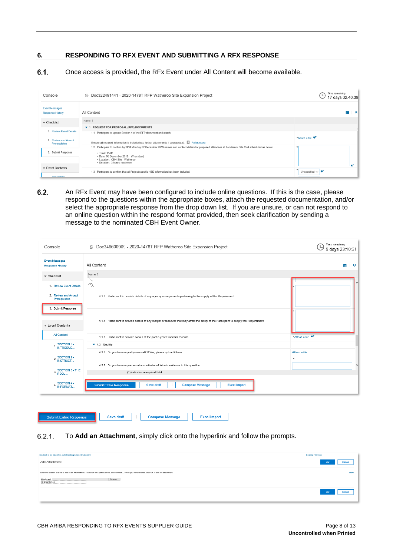### **6. RESPONDING TO RFX EVENT AND SUBMITTING A RFX RESPONSE**

 $6.1.$ Once access is provided, the RFx Event under All Content will become available.

| <b>Event Messages</b><br>$\blacksquare$ $\land$<br>All Content<br><b>Response History</b><br>Name 1<br>$\triangledown$ Checklist<br><b>REQUEST FOR PROPOSAL (RFP) DOCUMENTS</b><br>71<br>1. Review Event Details<br>1.1 Participant to update Section 4 of the RFP document and attach.<br>*Attach a file<br>2. Review and Accept<br>Ensure all required information is included (as further attachments if appropriate). $\Box$ References<br>Prerequisites<br>1.2 Participant to confirm by 2PM Monday 02 December 2019 names and contact details for proposed attendees at Tenderers' Site Visit scheduled as below:<br>3. Submit Response<br>• Time: 11AM<br>• Date: 05 December 2019 (Thursday)<br>· Location: CBH Site - Watheroo<br>· Duration: 3 hours maximum<br>$\mathbf$ Event Contents<br>Unspecified $\vee$<br>1.3 Participant to confirm that all Project specific HSE information has been included.<br>$4000 - 4000$ | Console | <b>E</b> Doc322491441 - 2020-1478T RFP Watheroo Site Expansion Project | Time remaining<br>17 days 02:40:39 |
|--------------------------------------------------------------------------------------------------------------------------------------------------------------------------------------------------------------------------------------------------------------------------------------------------------------------------------------------------------------------------------------------------------------------------------------------------------------------------------------------------------------------------------------------------------------------------------------------------------------------------------------------------------------------------------------------------------------------------------------------------------------------------------------------------------------------------------------------------------------------------------------------------------------------------------------|---------|------------------------------------------------------------------------|------------------------------------|
|                                                                                                                                                                                                                                                                                                                                                                                                                                                                                                                                                                                                                                                                                                                                                                                                                                                                                                                                      |         |                                                                        |                                    |
|                                                                                                                                                                                                                                                                                                                                                                                                                                                                                                                                                                                                                                                                                                                                                                                                                                                                                                                                      |         |                                                                        |                                    |
|                                                                                                                                                                                                                                                                                                                                                                                                                                                                                                                                                                                                                                                                                                                                                                                                                                                                                                                                      |         |                                                                        |                                    |
|                                                                                                                                                                                                                                                                                                                                                                                                                                                                                                                                                                                                                                                                                                                                                                                                                                                                                                                                      |         |                                                                        |                                    |
|                                                                                                                                                                                                                                                                                                                                                                                                                                                                                                                                                                                                                                                                                                                                                                                                                                                                                                                                      |         |                                                                        |                                    |
|                                                                                                                                                                                                                                                                                                                                                                                                                                                                                                                                                                                                                                                                                                                                                                                                                                                                                                                                      |         |                                                                        |                                    |
|                                                                                                                                                                                                                                                                                                                                                                                                                                                                                                                                                                                                                                                                                                                                                                                                                                                                                                                                      |         |                                                                        |                                    |
|                                                                                                                                                                                                                                                                                                                                                                                                                                                                                                                                                                                                                                                                                                                                                                                                                                                                                                                                      |         |                                                                        |                                    |
|                                                                                                                                                                                                                                                                                                                                                                                                                                                                                                                                                                                                                                                                                                                                                                                                                                                                                                                                      |         |                                                                        |                                    |

 $6.2.$ An RFx Event may have been configured to include online questions. If this is the case, please respond to the questions within the appropriate boxes, attach the requested documentation, and/or select the appropriate response from the drop down list. If you are unsure, or can not respond to an online question within the respond format provided, then seek clarification by sending a message to the nominated CBH Event Owner.

| Console                                          | Doc348600909 - 2020-1478T RFP Watheroo Site Expansion Project                                                                            | Time remaining<br>L<br>9 days 23:10:31 |
|--------------------------------------------------|------------------------------------------------------------------------------------------------------------------------------------------|----------------------------------------|
| <b>Event Messages</b><br><b>Response History</b> | All Content                                                                                                                              | $\check{\phantom{a}}$<br>Ħ             |
| $\mathbf{\nabla}$ Checklist                      | Name 1                                                                                                                                   |                                        |
| 1. Review Event Details                          | M                                                                                                                                        |                                        |
| 2. Review and Accept<br>Prerequisites            | 4.1.3 Participant to provide details of any agency arrangements pertaining to the supply of the Requirement.                             |                                        |
| 3. Submit Response                               |                                                                                                                                          |                                        |
| ▼ Event Contents                                 | 4.1.4 Participant to provide details of any merger or takeover that may affect the ability of the Participant to supply the Requirement. |                                        |
| <b>All Content</b>                               | 4.1.5 Participant to provide copies of the past 5 years financial records                                                                | *Attach a file                         |
| SECTION 1 -<br>INTRODUC                          | ▼ 4.2 Quality                                                                                                                            |                                        |
| 2 SECTION 2 -<br>INSTRUCT                        | 4.2.1 Do you have a quality manual? If Yes, please upload it here.                                                                       | Attach a file<br>٠                     |
|                                                  | 4.2.2 Do you have any external accreditations? Attach evidence to this question.                                                         |                                        |
| SECTION 3 - THE<br>3<br>REQU.                    | (*) indicates a required field                                                                                                           |                                        |
| <b>SECTION 4 -</b><br>4<br><b>INFORMAT.</b>      | <b>Submit Entire Response</b><br>Save draft<br><b>Compose Message</b><br><b>Excel Import</b>                                             |                                        |

| <b>Submit Entire Response</b> | Save draft | <b>Compose Message</b> | <b>Excel Import</b> |
|-------------------------------|------------|------------------------|---------------------|
|                               |            |                        |                     |

#### $6.2.1.$ To **Add an Attachment**, simply click onto the hyperlink and follow the prompts.

| : Go back to Co-Operative Bulk Handling Limited Dashboard                                                                                                    | Desktop File Sync |
|--------------------------------------------------------------------------------------------------------------------------------------------------------------|-------------------|
| Add Attachment                                                                                                                                               | OK<br>Cancel      |
| Enter the location of a file to add as an Attachment. To search for a particular file, click Browse  When you have finished, click OK to add the attachment. | More              |
| Browse<br>Attachment<br>Or drop file here entertainment and the here                                                                                         |                   |
|                                                                                                                                                              | OK<br>Cancel      |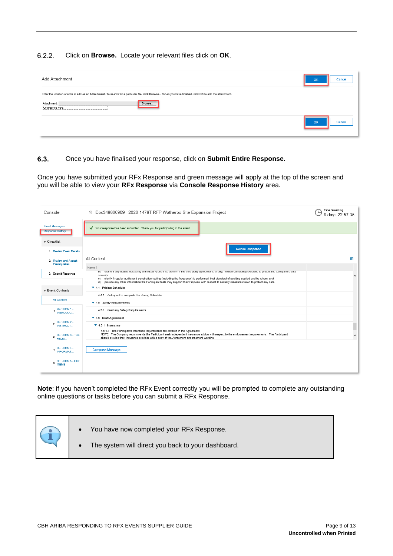$6.2.2.$ Click on **Browse.** Locate your relevant files click on **OK**.

| Add Attachment                                                                                                                                                                                                                                             | Cancel<br>OK        |
|------------------------------------------------------------------------------------------------------------------------------------------------------------------------------------------------------------------------------------------------------------|---------------------|
| Enter the location of a file to add as an Attachment. To search for a particular file, click Browse  When you have finished, click OK to add the attachment.<br>Attachment:<br>Browse<br>Or drop file here<br><b>BERTHERE</b><br>------------------------- |                     |
|                                                                                                                                                                                                                                                            | Cancel<br><b>OK</b> |

 $6.3.$ Once you have finalised your response, click on **Submit Entire Response.**

Once you have submitted your RFx Response and green message will apply at the top of the screen and you will be able to view your **RFx Response** via **Console Response History** area.

| Console                                          | Time remaining<br>6 Doc348600909 - 2020-1478T RFP Watheroo Site Expansion Project<br>9 days 22:57:35                                                                                                                                                                                                                                                                                                                                                                                      |   |  |
|--------------------------------------------------|-------------------------------------------------------------------------------------------------------------------------------------------------------------------------------------------------------------------------------------------------------------------------------------------------------------------------------------------------------------------------------------------------------------------------------------------------------------------------------------------|---|--|
| <b>Event Messages</b><br><b>Response History</b> | √ Your response has been submitted. Thank you for participating in the event.                                                                                                                                                                                                                                                                                                                                                                                                             |   |  |
| $\overline{\mathbf{v}}$ Checklist                |                                                                                                                                                                                                                                                                                                                                                                                                                                                                                           |   |  |
| 1. Review Event Details                          | <b>Revise Response</b>                                                                                                                                                                                                                                                                                                                                                                                                                                                                    |   |  |
| 2. Review and Accept<br>Prerequisites            | All Content                                                                                                                                                                                                                                                                                                                                                                                                                                                                               | m |  |
|                                                  | Name 1                                                                                                                                                                                                                                                                                                                                                                                                                                                                                    |   |  |
| 3. Submit Response                               | b) clarify if any gata is nosted by a third party and if so confirm if the third party agreements (if any) include sumclent provisions to protect the Company's gata<br>security;<br>c) clarify if regular audits and penetration testing (including the frequency) is performed, that standard of auditing applied and by whom; and<br>provide any other information the Participant feels may support their Proposal with respect to security measures taken to protect any data.<br>d) | ∧ |  |
|                                                  | ▼ 4.4 Pricing Schedule                                                                                                                                                                                                                                                                                                                                                                                                                                                                    |   |  |
| $\overline{\mathbf{v}}$ Event Contents           | 4.4.1 Participant to complete the Pricing Schedule                                                                                                                                                                                                                                                                                                                                                                                                                                        |   |  |
| <b>All Content</b>                               | ▼ 4.5 Safety Requirements                                                                                                                                                                                                                                                                                                                                                                                                                                                                 |   |  |
| SECTION 1 -<br>INTRODUC                          | 4.5.1 Insert any Safety Requirements                                                                                                                                                                                                                                                                                                                                                                                                                                                      |   |  |
|                                                  | ▼ 4.6 Draft Agreement                                                                                                                                                                                                                                                                                                                                                                                                                                                                     |   |  |
| 2 SECTION 2 -<br>INSTRUCT                        | $\blacktriangledown$ 4.6.1 Insurance                                                                                                                                                                                                                                                                                                                                                                                                                                                      |   |  |
| SECTION 3 - THE<br>3<br>REQU.                    | 4.6.1.1 The Participants insurance requirements are detailed in the Agreement.<br>NOTE: The Company recommends the Participant seek independent insurance advice with respect to the endorsement requirements. The Participant<br>should provide their insurance provider with a copy of the Agreement endorsement wording.                                                                                                                                                               | ∨ |  |
| SECTION 4 -<br>4<br><b>INFORMAT</b>              | <b>Compose Message</b>                                                                                                                                                                                                                                                                                                                                                                                                                                                                    |   |  |
| <b>SECTION 5 - LINE</b><br>5<br><b>ITEMS</b>     |                                                                                                                                                                                                                                                                                                                                                                                                                                                                                           |   |  |

**Note**: if you haven't completed the RFx Event correctly you will be prompted to complete any outstanding online questions or tasks before you can submit a RFx Response.

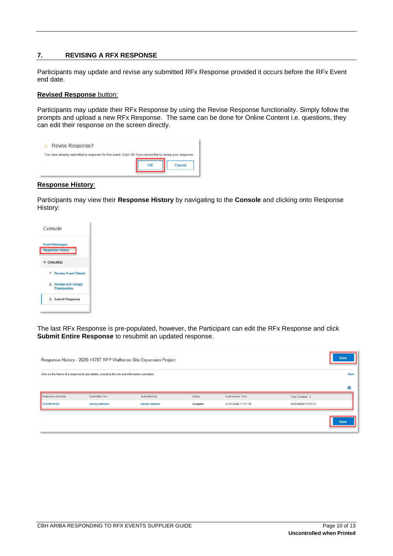### **7. REVISING A RFX RESPONSE**

Participants may update and revise any submitted RFx Response provided it occurs before the RFx Event end date.

### **Revised Response** button:

Participants may update their RFx Response by using the Revise Response functionality. Simply follow the prompts and upload a new RFx Response. The same can be done for Online Content i.e. questions, they can edit their response on the screen directly.

| Revise Response?<br>A                                                                                     |    |        |
|-----------------------------------------------------------------------------------------------------------|----|--------|
| You have already submitted a response for this event. Click OK if you would like to revise your response. | OK | Cancel |

### **Response History**:

Participants may view their **Response History** by navigating to the **Console** and clicking onto Response History:



The last RFx Response is pre-populated, however, the Participant can edit the RFx Response and click **Submit Entire Response** to resubmit an updated response.

|                                                                                               |                | Response History - 2020-1478T RFP Watheroo Site Expansion Project |          |                     |                     | <b>Done</b> |
|-----------------------------------------------------------------------------------------------|----------------|-------------------------------------------------------------------|----------|---------------------|---------------------|-------------|
| Click on the Name of a response to see details, including the lots and information submitted. |                |                                                                   |          | More                |                     |             |
|                                                                                               |                |                                                                   |          |                     |                     | <b>THE</b>  |
| Reference Number                                                                              | Submitted For  | Submitted By                                                      | Status   | Submission Time     | Time Created ↓      |             |
| ID343645780                                                                                   | wendy robinson | wendy robinson                                                    | Accepted | 21/01/2020 11:47:16 | 21/01/2020 11:47:17 |             |
|                                                                                               |                |                                                                   |          |                     |                     | <b>Done</b> |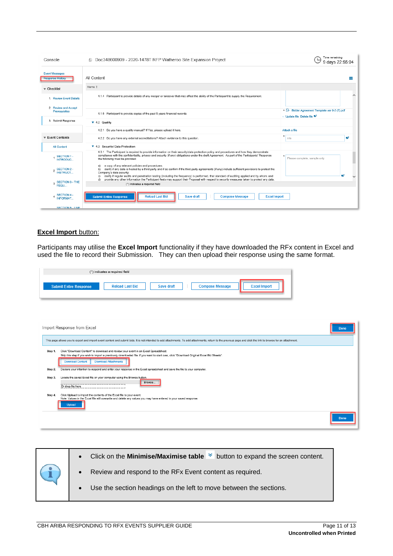| Console                                          | © Doc348600909 - 2020-1478T RFP Watheroo Site Expansion Project                                                                                                                                                                                                                                                                                                                                    | Time remaining<br>9 days 22:55:04                                                        |
|--------------------------------------------------|----------------------------------------------------------------------------------------------------------------------------------------------------------------------------------------------------------------------------------------------------------------------------------------------------------------------------------------------------------------------------------------------------|------------------------------------------------------------------------------------------|
| <b>Event Messages</b><br><b>Response History</b> | All Content                                                                                                                                                                                                                                                                                                                                                                                        | m                                                                                        |
| $\mathbf$ Checklist                              | Name 1                                                                                                                                                                                                                                                                                                                                                                                             |                                                                                          |
| 1. Review Event Details                          | 4.1.4 Participant to provide details of any merger or takeover that may affect the ability of the Participant to supply the Requirement.                                                                                                                                                                                                                                                           | ́                                                                                        |
| 2. Review and Accept<br>Prerequisites            | 4.1.5 Participant to provide copies of the past 5 years financial records                                                                                                                                                                                                                                                                                                                          | * E Bidder Agreement Template ver 0-2 (7) pdf<br>→ Update file Delete file <sup>#2</sup> |
| 3. Submit Response                               | ▼ 4.2 Quality                                                                                                                                                                                                                                                                                                                                                                                      |                                                                                          |
|                                                  | 4.2.1 Do you have a quality manual? If Yes, please upload it here.                                                                                                                                                                                                                                                                                                                                 | Attach a file                                                                            |
| $\overline{\mathbf{v}}$ Event Contents           | 4.2.2 Do you have any external accreditations? Attach evidence to this question.                                                                                                                                                                                                                                                                                                                   | œ۶<br>n/a                                                                                |
| <b>All Content</b>                               | ▼ 4.3 Security/ Data Protection                                                                                                                                                                                                                                                                                                                                                                    |                                                                                          |
| SECTION 1 -<br><b>INTRODUC.</b>                  | 4.3.1 The Participant is required to provide information on their security/data protection policy and procedures and how they demonstrate<br>compliance with the confidentiality, privacy and security (if any) obligations under the draft Agreement. As part of the Participants' Response<br>the following must be provided:                                                                    | Please complete, sample only                                                             |
| SECTION 2 -<br>INSTRUCT<br>$\overline{2}$        | a) a copy of any relevant policies and procedures;<br>clarify if any data is hosted by a third party and if so confirm if the third party agreements (if any) include sufficient provisions to protect the<br>b)<br>Company's data security:<br>clarify if regular audits and penetration testing (including the frequency) is performed, that standard of auditing applied and by whom; and<br>c) |                                                                                          |
| SECTION 3 - THE<br>3<br>REQU.                    | provide any other information the Participant feels may support their Proposal with respect to security measures taken to protect any data.<br>d)<br>(*) indicates a required field                                                                                                                                                                                                                |                                                                                          |
| <b>SECTION 4 -</b><br><b>INFORMAT.</b>           | <b>Reload Last Bid</b><br><b>Compose Message</b><br><b>Submit Entire Response</b><br>Save draft<br><b>Excel Import</b>                                                                                                                                                                                                                                                                             |                                                                                          |
| SECTION 5 - LINE                                 |                                                                                                                                                                                                                                                                                                                                                                                                    |                                                                                          |

### **Excel Import** button:

Participants may utilise the **Excel Import** functionality if they have downloaded the RFx content in Excel and used the file to record their Submission. They can then upload their response using the same format.

| (*) indicates a required field                                                                                                                                                                                                                                                                                                                                                                                                                                                                                                 |             |  |  |
|--------------------------------------------------------------------------------------------------------------------------------------------------------------------------------------------------------------------------------------------------------------------------------------------------------------------------------------------------------------------------------------------------------------------------------------------------------------------------------------------------------------------------------|-------------|--|--|
| <b>Excel Import</b><br><b>Reload Last Bid</b><br><b>Compose Message</b><br><b>Submit Entire Response</b><br>Save draft                                                                                                                                                                                                                                                                                                                                                                                                         |             |  |  |
| Import Response from Excel<br>This page allows you to export and import event content and submit bids. It is not intended to add attachments. To add attachments, return to the previous page and click the link to browse for an attachment.                                                                                                                                                                                                                                                                                  | <b>Done</b> |  |  |
| Click "Download Content" to download and review your event in an Excel Spreadsheet.<br>Step 1.<br>Skip this step if you wish to import a previously downloaded file. If you want to start over, click "Download Original Excel Bid Sheets".<br><b>Download Attachments</b><br><b>Download Content</b><br>Declare your intention to respond and enter your response in the Excel spreadsheet and save the file to your computer.<br>Step 2.<br>Locate the saved Excel file on your computer using the Browse button.<br>Step 3. |             |  |  |
| Browse<br>Or drop file here<br>Click Upload to import the contents of the Excel file to your event.<br>Step 4.<br>Note: Values in the Excel file will overwrite and delete any values you may have entered in your saved response.<br><b>Upload</b>                                                                                                                                                                                                                                                                            |             |  |  |
|                                                                                                                                                                                                                                                                                                                                                                                                                                                                                                                                | <b>Done</b> |  |  |

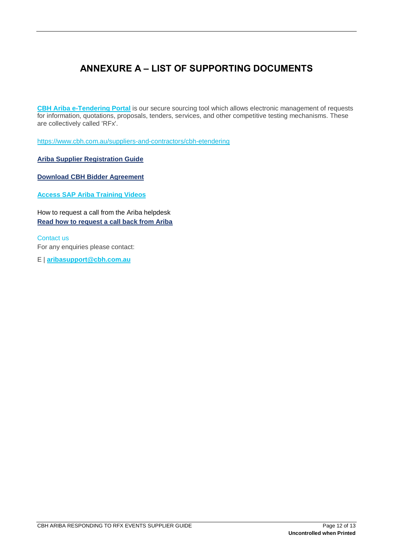## **ANNEXURE A – LIST OF SUPPORTING DOCUMENTS**

**[CBH Ariba e-Tendering Portal](https://service.ariba.com/Supplier.aw/125006060/aw?awh=r&awssk=aWNG7_CB&dard=1&ancdc=1)** is our secure sourcing tool which allows electronic management of requests for information, quotations, proposals, tenders, services, and other competitive testing mechanisms. These are collectively called 'RFx'.

<https://www.cbh.com.au/suppliers-and-contractors/cbh-etendering>

**[Ariba Supplier Registration Guide](https://www.cbh.com.au/~/media/files/cbh%20website/documents/suppliers%20and%20contractors/s1%20ariba%20%20supplier%20registration%20guide.ashx)**

**[Download CBH Bidder Agreement](https://www.cbh.com.au/~/media/files/cbh%20website/documents/suppliers%20and%20contractors/bidder%20agreement%20template%20ver%200-2.ashx)**

**[Access SAP Ariba Training Videos](https://www.ariba.com/ariba-network/ariba-network-for-suppliers)**

How to request a call from the Ariba helpdesk **[Read how to request a call back from Ariba](https://www.cbh.com.au/~/media/files/cbh%20website/documents/suppliers%20and%20contractors/how%20to%20request%20a%20call%20from%20the%20ariba%20helpdesk%20for%20suppliers%201.ashx)**

Contact us For any enquiries please contact:

E | **[aribasupport@cbh.com.au](mailto:aribasupport@cbh.com.au)**